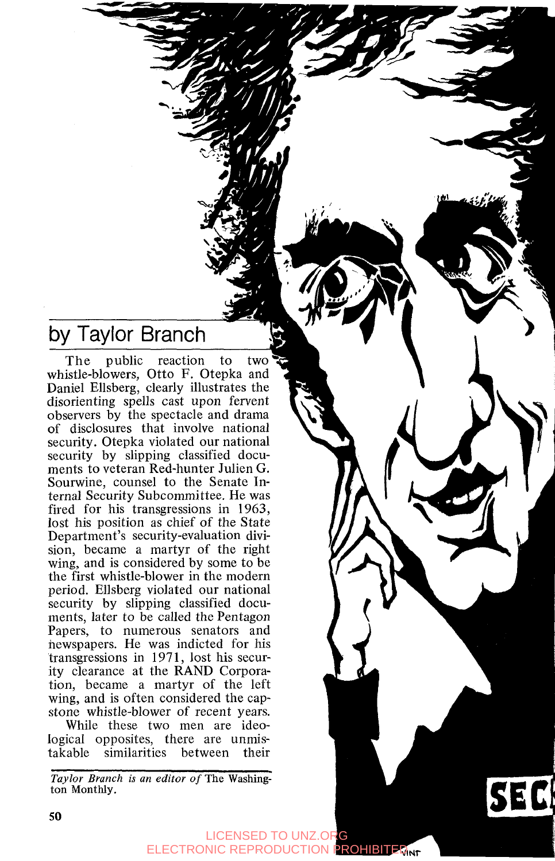### by Taylor Branch

public reaction to two  ${\rm The}$ whistle-blowers, Otto F. Otepka and Daniel Ellsberg, clearly illustrates the disorienting spells cast upon fervent observers by the spectacle and drama of disclosures that involve national security. Otepka violated our national security by slipping classified documents to veteran Red-hunter Julien G. Sourwine, counsel to the Senate Internal Security Subcommittee. He was fired for his transgressions in 1963, lost his position as chief of the State Department's security-evaluation division, became a martyr of the right wing, and is considered by some to be the first whistle-blower in the modern period. Ellsberg violated our national security by slipping classified documents, later to be called the Pentagon Papers, to numerous senators and newspapers. He was indicted for his transgressions in 197 **1,** lost his security clearance at the **RAND** Corporation, became a martyr of the left wing, and is often considered the capstone whistle-blower of recent years.

While these two men are ideological opposites, there are unmistakable similarities between their

*Taylor Branch* is *an editor of* **The Washing**ton Monthly.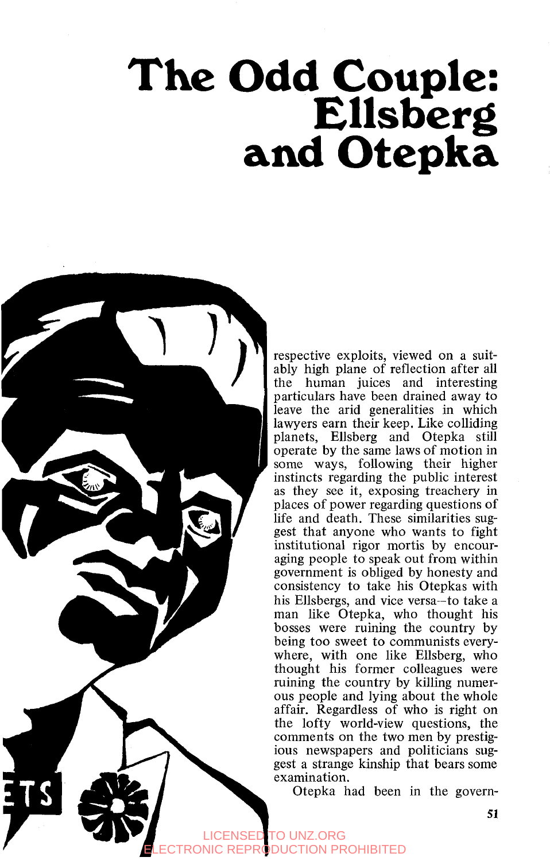# The Odd Couple: Ellsberg **and Otepka**



respective exploits, viewed on a suitably high plane of reflection after all the human juices and interesting particulars have been drained away to leave the arid generalities in which lawyers earn their keep. Like colliding planets, Ellsberg and Otepka still operate by the same laws of motion in some ways, following their higher instincts regarding the public interest as they see it, exposing treachery in places of power regarding questions of life and death. These similarities suggest that anyone who wants to fight institutional rigor mortis by encouraging people to speak out from within government is obliged by honesty and consistency to take his Otepkas with his Ellsbergs, and vice versa-to take a man like Otepka, who thought his bosses were ruining the country by being too sweet to communists everywhere, with one like Ellsberg, who thought his former colleagues were ruining the country by killing numerous people and lying about the whole affair. Regardless of who is right on the lofty world-view questions, the comments on the two men by prestigious newspapers and politicians suggest a strange kinship that bears some examination.

Otepka had been in the govern-

### **TO UNZ.ORG IIC REPRODUCTION PROHIBITED**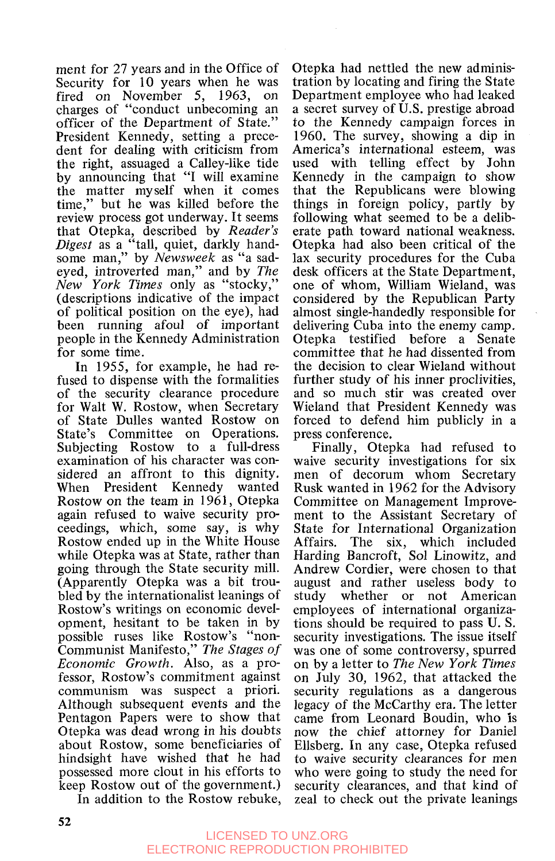ment for 27 years and in the Office of Security for 10 years when he was fired on November *5,* 1963, on charges of "conduct unbecoming an officer of the Department of State." President Kennedy, setting a precedent for dealing with criticism from the right, assuaged a Calley-like tide by announcing that "I will examine the matter myself when it comes time," but he was killed before the review process got underway. It seems that Otepka, described by *Reader's Digest* as a "tall, quiet, darkly handsome man," by *Newsweek* as "a sadeyed, introverted man," and by *The New York Times* only as "stocky," (descriptions indicative of the impact of political position on the eye), had been running afoul of important people in the Kennedy Administration for some time.

In 1955, for example, he had refused to dispense with the formalities of the security clearance procedure for Walt W. Rostow, when Secretary of State Dulles wanted Rostow on State's Committee on Operations. Subjecting Rostow to a full-dress examination of his character was considered an affront to this dignity. When President Kennedy wanted Rostow on the team in 1961, Otepka again refused to waive security proceedings, which, some say, is why Rostow ended up in the White House while Otepka was at State, rather than going through the State security mill. (Apparently Otepka was a bit troubled by the internationalist leanings of Rostow's writings on economic development, hesitant to be taken in by possible ruses like Rostow's "non-Communist Manifesto," *The Stages* of *Economic Growth.* Also, as a professor, Rostow's commitment against communism was suspect a priori. Although subsequent events and the Pentagon Papers were to show that Otepka was dead wrong in his doubts about Rostow, some beneficiaries of hindsight have wished that he had possessed more clout in his efforts to keep Rostow out of the government.)

In addition to the Rostow rebuke,

Otepka had nettled the new administration by locating and firing the State Department employee who had leaked a secret survey of **U.S.** prestige abroad to the Kennedy campaign forces in 1960. The survey, showing a dip in America's international esteem, was used with telling effect by John Kennedy in the campaign to show that the Republicans were blowing things in foreign policy, partly by following what seemed to be a deliberate path toward national weakness. Otepka had also been critical of the lax security procedures for the Cuba desk officers at the State Department, one of whom, William Wieland, was considered by the Republican Party almost single-handedly responsible for delivering Cuba into the enemy camp. Otepka testified before a Senate committee that he had dissented from the decision to clear Wieland without further study of his inner proclivities, and so much stir was created over Wieland that President Kennedy was forced to defend him publicly in a press conference.

Finally, Otepka had refused to waive security investigations for six men of decorum whom Secretary Rusk wanted in 1962 for the Advisory Committee on Management Improvement to the Assistant Secretary of State for International Organization<br>Affairs. The six, which included The six, which included Harding Bancroft, Sol Linowitz, and Andrew Cordier, were chosen to that august and rather useless body to study whether or not American employees of international organizations should be required to pass **U. S.**  security investigations. The issue itself was one of some controversy, spurred on by a letter to *The New York Times*  on July *30,* 1962, that attacked the security regulations as a dangerous legacy of the McCarthy era. The letter came from Leonard Boudin, who is now the chief attorney for Daniel Ellsberg. In any case, Otepka refused to waive security clearances for men who were going to study the need for security clearances, and that kind of zeal to check out the private leanings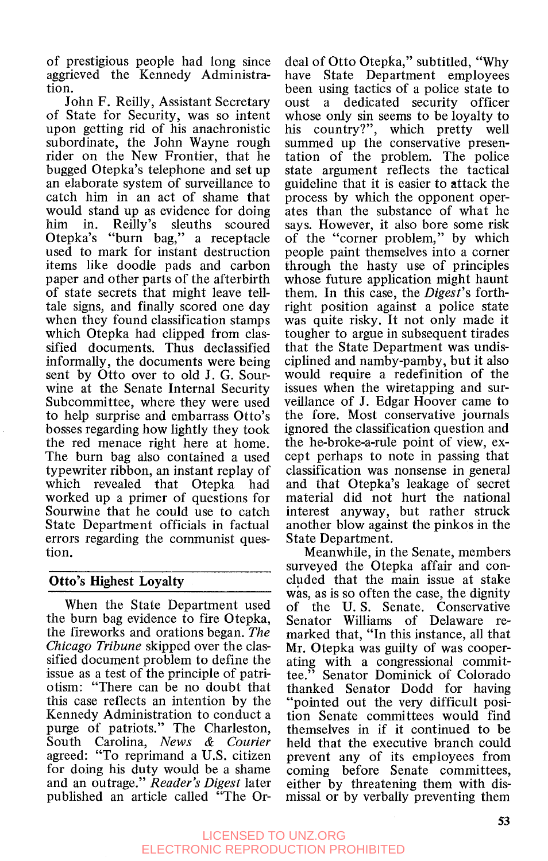of prestigious people had long since aggrieved the Kennedy Administration.

John **F.** Reilly, Assistant Secretary of State for Security, was so intent upon getting rid of his anachronistic subordinate, the John Wayne rough rider on the New Frontier, that he bugged Otepka's telephone and set up an elaborate system of surveillance to catch him in an act of shame that would stand up as evidence for doing him in. Reilly's sleuths scoured Otepka's "burn bag," a receptacle used to mark for instant destruction items like doodle pads and carbon paper and other parts of the afterbirth of state secrets that might leave telltale signs, and finally scored one day when they found classification stamps which Otepka had clipped from classified documents. Thus declassified informally, the documents were being sent by Otto over to old J. G. Sourwine at the Senate Internal Security Subcommittee, where they were used to help surprise and embarrass Otto's bosses regarding how lightly they took the red menace right here at home. The burn bag also contained a used typewriter ribbon, an instant replay of which revealed that Otepka had worked up a primer of questions for Sourwine that he could use to catch State Department officials in factual errors regarding the communist question.

### Otto's Highest Loyalty

When the State Department used the burn bag evidence to fire Otepka, the fireworks and orations began. *The Chicago Tribune* skipped over the classified document problem to define the issue as a test of the principle of patriotism: "There can be no doubt that this case reflects an intention by the Kennedy Administration to conduct a purge of patriots." The Charleston, South Carolina, *News* & *Courier*  agreed: "To reprimand a **U.S.** citizen for doing his duty would be a shame and an outrage." *Reader's Digest* later published an article called "The Or-

deal of Otto Otepka," subtitled, "Why have State Department employees been using tactics of a police state to oust a dedicated security officer whose only sin seems to be loyalty to his country?", which pretty well summed up the conservative presentation of the problem. The police state argument reflects the tactical guideline that it is easier to attack the process by which the opponent operates than the substance of what he says. However, it also bore some risk of the "corner problem," by which people paint themselves into a corner through the hasty use of principles whose future application might haunt them. In this case, the *Digest's* forthright position against a police state was quite risky. It not only made it tougher to argue in subsequent tirades that the State Department was undisciplined and namby-pamby, but it also would require a redefinition of the issues when the wiretapping and surveillance of J. Edgar Hoover came to the fore. Most conservative journals ignored the classification question and the he-broke-a-rule point of view, except perhaps to note in passing that classification was nonsense in general and that Otepka's leakage of secret material did not hurt the national interest anyway, but rather struck another blow against the pinkos in the State Department.

Meanwhile, in the Senate, members surveyed the Otepka affair and concluded that the main issue at stake was, as is so often the case, the dignity of the **U.** S. Senate. Conservative Senator Williams of Delaware remarked that, "In this instance, all that Mr. Otepka was guilty of was cooperating with a congressional committee." Senator Dominick of Colorado thanked Senator Dodd for having "pointed out the very difficult position Senate committees would find themselves in if it continued to be held that the executive branch could prevent any of its employees from coming before Senate committees, either by threatening them with dismissal or by verbally preventing them

### LICENSED TO UNZ.ORG ELECTRONIC REPRODUCTION PROHIBITED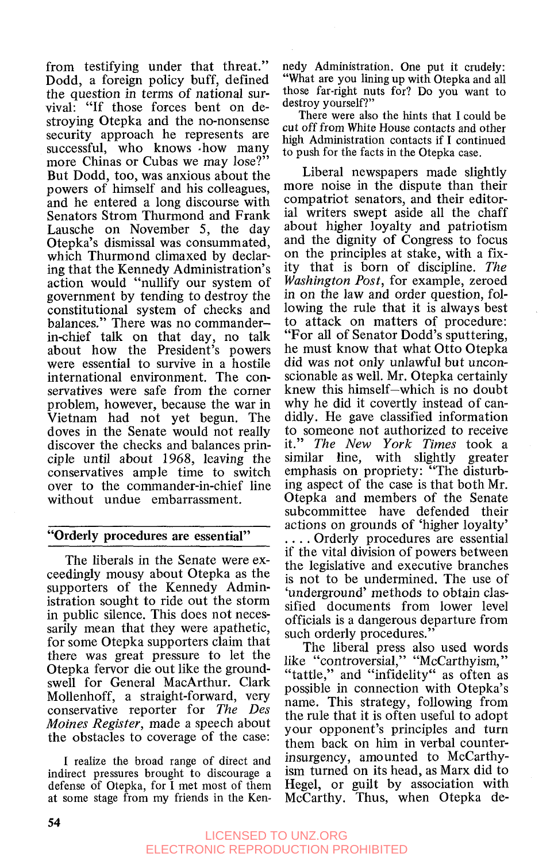from testifying under that threat." Dodd, a foreign policy buff, defined the question in terms of national survival: "If those forces bent on destroying Otepka and the no-nonsense security approach he represents are successful, who knows how many more Chinas or Cubas we may lose?" But Dodd, too, was anxious about the powers of himself and his colleagues, and he entered a long discourse with Senators Strom Thurmond and Frank Lausche on November 5, the day Otepka's dismissal was consummated, which Thurmond climaxed by declaring that the Kennedy Administration's action would "nullify our system of government by tending to destroy the constitutional system of checks and balances." There was no commanderin-chief talk on that day, no talk about how the President's powers were essential to survive in a hostile international environment. The conservatives were safe from the corner problem, however, because the war in Vietnam had not yet begun. The doves in the Senate would not really discover the checks and balances principle until about 1968, leaving the conservatives ample time to switch over to the commander-in-chief line without undue embarrassment.

### **"Orderly procedures are essential"**

The liberals in the Senate were exceedingly mousy about Otepka as the supporters of the Kennedy Administration sought to ride out the storm in public silence. This does not necessarily mean that they were apathetic, for some Otepka supporters claim that there was great pressure to let the Otepka fervor die out like the groundswell for General MacArthur. Clark Mollenhoff, a straight-forward, very conservative reporter for *The Des Moines Register,* made a speech about the obstacles to coverage of the case:

I realize the broad range of direct and indirect pressures brought to discourage a defense of Otepka, for I met most of them at some stage from my friends in the Kennedy Administration. One put it crudely: "What are you lining up with Otepka and all those far-right nuts for? Do you want to destroy yourself?"

There were also the hints that I could be cut off from White House contacts and other high Administration contacts if I continued to push for the facts in the Otepka case.

Liberal newspapers made slightly more noise in the dispute than their compatriot senators, and their editorial writers swept aside all the chaff about higher loyalty and patriotism and the dignity of Congress to focus on the principles at stake, with a fixity that is born of discipline. *The Washington Post,* for example, zeroed in on the law and order question, following the rule that it is always best to attack on matters of procedure: "For all of Senator Dodd's sputtering, he must know that what Otto Otepka did was not only unlawful but unconscionable as well. Mr. Otepka certainly knew this himself-which is no doubt why he did it covertly instead of candidly. He gave classified information to someone not authorized to receive it." *The New York Times* took a similar line, with slightly greater emphasis on propriety: "The disturbing aspect of the case is that both Mr. Otepka and members of the Senate subcommittee have defended their<br>actions on grounds of 'higher loyalty' ... Orderly procedures are essential if the vital division of powers between the legislative and executive branches is not to be undermined. The use of 'underground' methods to obtain classified documents from lower level officials is a dangerous departure from such orderly procedures.'

The liberal press also used words like "controversial," "McCarthyism," "tattle," and "infidelity" as often as possible in connection with Otepka's name. This strategy, following from the rule that it is often useful to adopt your opponent's principles and turn them back on him in verbal counterinsurgency, amounted to McCarthyism turned on its head, as Marx did to Hegel, or guilt by association with McCarthy. Thus, when Otepka de-

### LICENSED TO UNZ.ORG ELECTRONIC REPRODUCTION PROHIBITED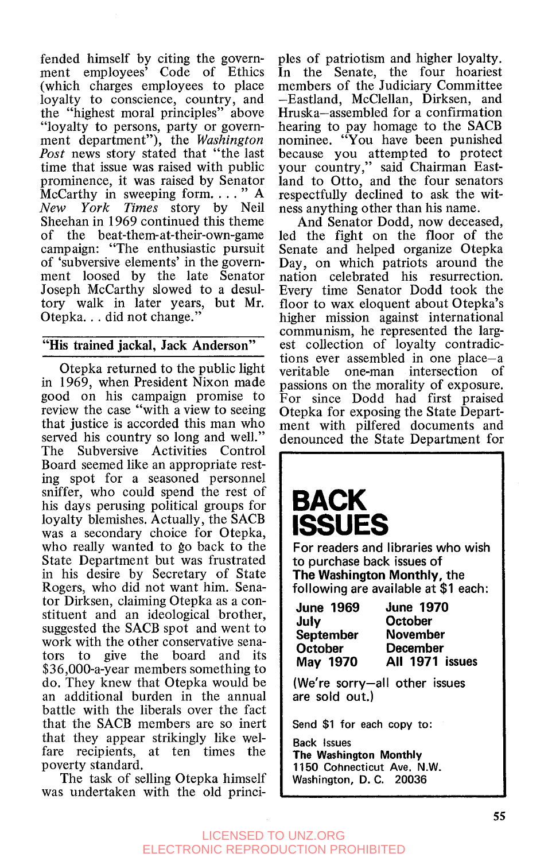fended himself by citing the government employees<sup>3</sup> Code of Ethics (which charges employees to place loyalty to conscience, country, and the "highest moral principles" above "loyalty to persons, party or government department"), the *Washington Post* news story stated that "the last time that issue was raised with public prominence, it was raised by Senator McCarthy in sweeping form...." A<br>New York Times story by Neil *Times* story by Neil Sheehan in 1969 continued this theme of the beat-them-at-their-own-game campaign: "The enthusiastic pursuit of 'subversive elements' in the government loosed by the late Senator Joseph McCarthy slowed to a desultory walk in later years, but Mr. Otepka. . . did not change.'

### **"His** trained jackal, Jack Anderson"

Otepka returned to the public light in 1969, when President Nixon made good on his campaign promise to review the case "with a view to seeing that justice is accorded this man who served his country so long and well." The Subversive Activities Control Board seemed like an appropriate resting spot for a seasoned personnel sniffer, who could spend the rest of his days perusing political groups for loyalty blemishes. Actually, the SACB was a secondary choice for Otepka, who really wanted to go back to the State Department but was frustrated in his desire by Secretary of State Rogers, who did not want him. Senator Dirksen, claiming Otepka as a constituent and an ideological brother, suggested the SACB spot and went to work with the other conservative senators to give the board and its \$36,000-a-year members something to do. They knew that Otepka would be an additional burden in the annual battle with the liberals over the fact that the SACB members are so inert that they appear strikingly like welfare recipients, at ten times the poverty standard.

The task of selling Otepka himself was undertaken with the old principles of patriotism and higher loyalty. In the Senate, the four hoariest members of the Judiciary Committee -Eastland, McClellan, Dirksen, and Hruska-assembled for a confirmation hearing to pay homage to the SACB nominee. "You have been punished because you attempted to protect your country," said Chairman Eastland to Otto, and the four senators respectfully declined to ask the witness anything other than his name.

And Senator Dodd, now deceased, led the fight on the floor of the Senate and helped organize Otepka Day, on which patriots around the nation celebrated his resurrection. Every time Senator Dodd took the floor to wax eloquent about Otepka's higher mission against international communism, he represented the largest collection of loyalty contradictions ever assembled in one place-a intersection of passions on the morality of exposure. For since Dodd had first praised Otepka for exposing the State Department with pilfered documents and denounced the State Department for

### **BACK ISSUES**

For readers and libraries who wish to purchase back issues of **The Washington Monthly,** the following are available at \$1 each:

| June      | 1969 |
|-----------|------|
| July      |      |
| September |      |
| October   |      |
| Mav 1970  |      |

**June 1970 October September November December May 1970 All 1971 issues** 

(We're sorry-all other issues are sold out.)

**Send \$1 for each copy to:** 

**Back Issues The Washington Monthly 1150 Cohnecticut Ave. N.W. Washington, D. C. 20036**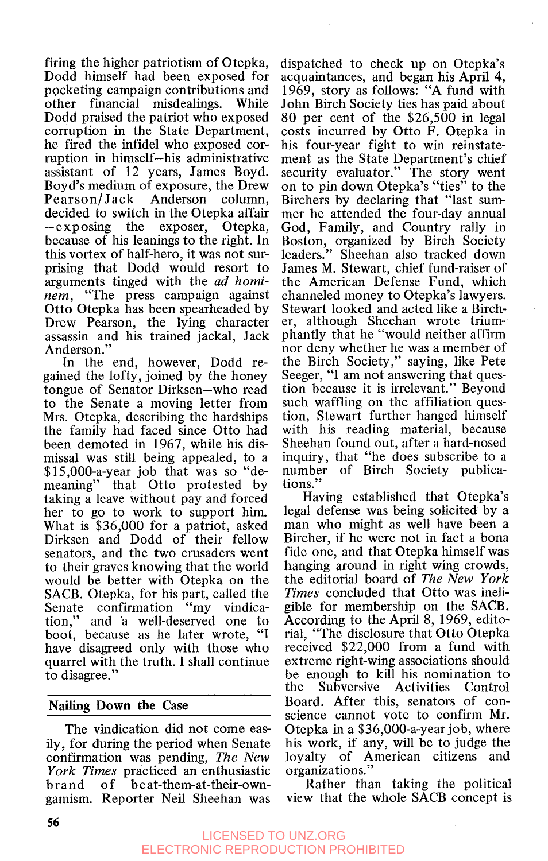firing the higher patriotism of Otepka, Dodd himself had been exposed for pocketing campaign contributions and<br>other financial misdealings. While other financial misdealings. Dodd praised the patriot who exposed corruption in the State Department, he fired the infidel who exposed corruption in himself-his administrative assistant of 12 years, James Boyd. Boyd's medium of exposure, the Drew<br>Pearson/Jack Anderson column. Anderson column. decided to switch in the Otepka affair -exposing the exposer, Otepka, because of his leanings to the right. In this vortex of half-hero, it was not surprising that Dodd would resort to arguments tinged with the *ad hominem,* "The press campaign against Otto Otepka has been spearheaded by Drew Pearson, the lying character assassin and his trained jackal, Jack Anderson.'

In the end, however, Dodd regained the lofty, joined by the honey tongue of Senator Dirksen-who read to the Senate a moving letter from Mrs. Otepka, describing the hardships the family had faced since Otto had been demoted in 1967, while his dismissal was still being appealed, to a \$15,000-a-year job that was so "demeaning" that Otto protested by taking a leave without pay and forced her to go to work to support him. What is \$36,000 for a patriot, asked Dirksen and Dodd of their fellow senators, and the two crusaders went to their graves knowing that the world would be better with Otepka on the SACB. Otepka, for his part, called the Senate confirmation "my vindication," and a well-deserved one to boot, because as he later wrote, "I have disagreed only with those who quarrel with the truth. I shall continue to disagree.''

### **Nailing Down** the Case

The vindication did not come easily, for during the period when Senate confirmation was pending, *The New York Times* practiced an enthusiastic brand of beat-them-at-their-owngamism. Reporter Neil Sheehan was

dispatched to check up on Otepka's acquaintances, and began his April 4, 1969, story as follows: "A fund with John Birch Society ties has paid about 80 per cent of the \$26,500 in legal costs incurred by Otto F. Otepka in his four-year fight to win reinstatement as the State Department's chief security evaluator." The story went on to pin down Otepka's "ties" to the Birchers by declaring that "last summer he attended the four-day annual God, Family, and Country rally in Boston, organized by Birch Society leaders." Sheehan also tracked down James M. Stewart, chief fund-raiser of the American Defense Fund, which channeled money to Otepka's lawyers. Stewart looked and acted like a Bircher, although Sheehan wrote triumphantly that he "would neither affirm nor deny whether he was a member of the Birch Society," saying, like Pete Seeger, "I am not answering that question because it is irrelevant." Beyond such waffling on the affiliation question, Stewart further hanged himself with his reading material, because Sheehan found out, after a hard-nosed inquiry, that "he does subscribe to a number of Birch Society publications."

Having established that Otepka's legal defense was being solicited by a man who might as well have been a Bircher, if he were not in fact a bona fide one, and that Otepka himself was hanging around in right wing crowds, the editorial board of *The New York Times* concluded that Otto was ineligible for membership on the SACB. According to the April 8, 1969, editorial, "The disclosure that Otto Otepka received \$22,000 from a fund with extreme right-wing associations should be enough to kill his nomination to<br>the Subversive Activities Control Activities Control Board. After this, senators of conscience cannot vote to confirm Mr. Otepka in a \$36,000-a-year job, where his work, if any, will be to judge the loyalty of American citizens and organizations. "

Rather than taking the political view that the whole SACB concept is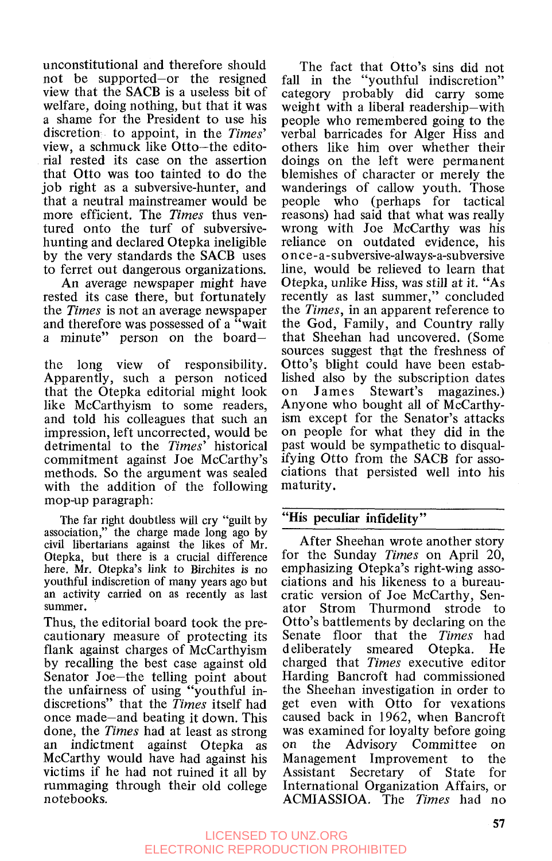unconstitutional and therefore should not be supported-or the resigned view that the SACB is a useless bit of welfare, doing nothing, but that it was a shame for the President to use his discretion to appoint, in the *Times'*  view, a schmuck like Otto-the editorial rested its case on the assertion that Otto was too tainted to do the job right as a subversive-hunter, and that a neutral mainstreamer would be more efficient. The *Times* thus ventured onto the turf of subversivehunting and declared Otepka ineligible by the very standards the SACB uses to ferret out dangerous organizations.

An average newspaper might have rested its case there, but fortunately the *Times* is not an average newspaper and therefore was possessed of a "wait a minute" person on the board-

the long view of responsibility. Apparently, such a person noticed that the Otepka editorial might look like McCarthyism to some readers, and told his colleagues that such an impression, left uncorrected, would be detrimental to the *Times'* historical commitment against Joe McCarthy's methods. So the argument was sealed with the addition of the following mop-up paragraph :

The far right doubtless will cry "guilt by association," the charge made long ago by civil libertarians against the likes of Mr. Otepka, but there is a crucial difference here, Mr. Otepka's link to Birchites is no youthful indiscretion of many years ago but an activity carried on as recently as last summer.

Thus, the editorial board took the precautionary measure of protecting its flank against charges of McCarthyism by recalling the best case against old Senator Joe-the telling point about the unfairness of using "youthful indiscpetions" that the *Times* itself had once made-and beating it down. This done, the *Times* had at least as strong an indictment against Otepka as McCarthy would have had against his victims if he had not ruined it all by rummaging through their old college notebooks.

The fact that Otto's sins did not fall in the "youthful indiscretion" category probably did carry some weight with a liberal readership-with people who remembered going to the verbal barricades for Alger Hiss and others like him over whether their doings on the left were permanent blemishes of character or merely the wanderings of callow youth. Those people who (perhaps for tactical reasons) had said that what was really wrong with Joe McCarthy was his reliance on outdated evidence, his once- a- subversive-alway s-a-subversive line, would be relieved to learn that Otepka, unlike Hiss, was still at it. "As recently as last summer," concluded the *Times,* in an apparent reference to the God, Family, and Country rally that Sheehan had uncovered. (Some sources suggest that the freshness of Otto's blight could have been established also by the subscription dates<br>on James Stewart's magazines.) on James Stewart's magazines.) Anyone who bought all of McCarthyism except for the Senator's attacks on people for what they did in the past would be sympathetic to disqualifying Otto from the SACB for associations that persisted well into his maturity.

### **"His peculiar infidelity"**

After Sheehan wrote another story for the Sunday *Times* on April *20,*  emphasizing Otepka's right-wing associations and his likeness to a bureaucratic version of Joe McCarthy, Sen-Strom Thurmond strode to Otto's battlements by declaring on the Senate floor that the *Times* had deliberately smeared Otepka. He charged that *Times* executive editor Harding Bancroft had commissioned the Sheehan investigation in order to get even with Otto for vexations caused back in 1962, when Bancroft was examined for loyalty before going on the Advisory Committee on Management Improvement to the Assistant Secretary of State for International Organization Affairs, or ACMIASSIOA. The *Times* had no

### LICENSED TO UNZ.ORG ELECTRONIC REPRODUCTION PROHIBITED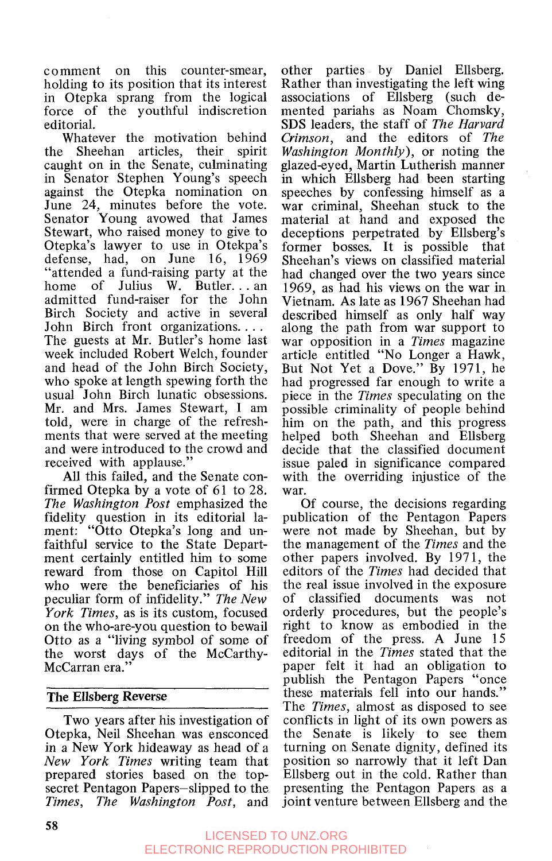comment on this counter-smear, holding to its position that its interest in Otepka sprang from the logical force of the youthful indiscretion editorial.

Whatever the motivation behind the Sheehan articles, their caught on in the Senate, culminating in Senator Stephen Young's speech against the Otepka nomination on June 24, minutes before the vote. Senator Young avowed that James Stewart, who raised money to give to Otepka's lawyer to use in Otekpa's defense, had, on June 16, 1969 "attended a fund-raising party at the home of Julius W. Butler.. . an admitted fund-raiser for the John Birch Society and active in several John Birch front organizations. . . . The guests at Mr. Butler's home last week included Robert Welch, founder and head of the John Birch Society, who spoke at length spewing forth the usual John Birch lunatic obsessions. Mr. and Mrs. James Stewart, I am told, were in charge of the refreshments that were served at the meeting and were introduced to the crowd and received with applause."

All this failed, and the Senate confirmed Otepka by a vote of 61 to 28. *The Washington Post* emphasized the fidelity question in its editorial lament: "Otto Otepka's long and unfaithful service to the State Department certainly entitled him to some reward from those on Capitol Hill who were the beneficiaries of his peculiar form of infidelity." *The New York Times,* as is its custom, focused on the who-are-you question to bewail Otto as a "living symbol of some of the worst days of the McCarthy-McCarran era."

### **The Ellsberg Reverse**

Two years after his investigation of Otepka, Neil Sheehan was ensconced in a New York hideaway as head of a *New York Times* writing team that prepared stories based on the topsecret Pentagon Papers-slipped to the *Times, The Washington Post,* and

other parties by Daniel Ellsberg. Rather than investigating the left wing associations of Ellsberg (such demented pariahs as Noam Chomsky, SDS leaders, the staff of *The Harvard Crimson,* and the editors of *The Washington Monthly),* or noting the glazed-eyed, Martin Lutherish manner in which Ellsberg had been starting speeches by confessing himself as a war criminal, Sheehan stuck to the material at hand and exposed the deceptions perpetrated by Ellsberg's former bosses. It is possible that Sheehan's views on classified material had changed over the two years since 1969, as had his views on the war in Vietnam. **As** late as 1967 Sheehan had described himself as only half way along the path from war support to war opposition in a *Times* magazine article entitled "No Longer a Hawk, But Not Yet a Dove." By 1971, he had progressed far enough to write a piece in the *Times* speculating on the possible criminality of people behind him on the path, and this progress helped both Sheehan and Ellsberg decide that the classified document issue paled in significance compared with the overriding injustice of the war.

Of course, the decisions regarding publication of the Pentagon Papers were not made by Sheehan, but by the management of the *Times* and the other papers involved. By 1971, the editors of the *Times* had decided that the real issue involved in the exposure of classified documents was not orderly procedures, but the people's right to know as embodied in the freedom of the press. **A** June 15 editorial in the *Times* stated that the paper felt it had an obligation to publish the Pentagon Papers "once these materials fell into our hands." The *Times,* almost as disposed to see conflicts in light of its own powers as the Senate is likely to see them turning on Senate dignity, defined its position so narrowly that it left Dan Ellsberg out in the cold. Rather than presenting the Pentagon Papers as a joint venture between Ellsberg and the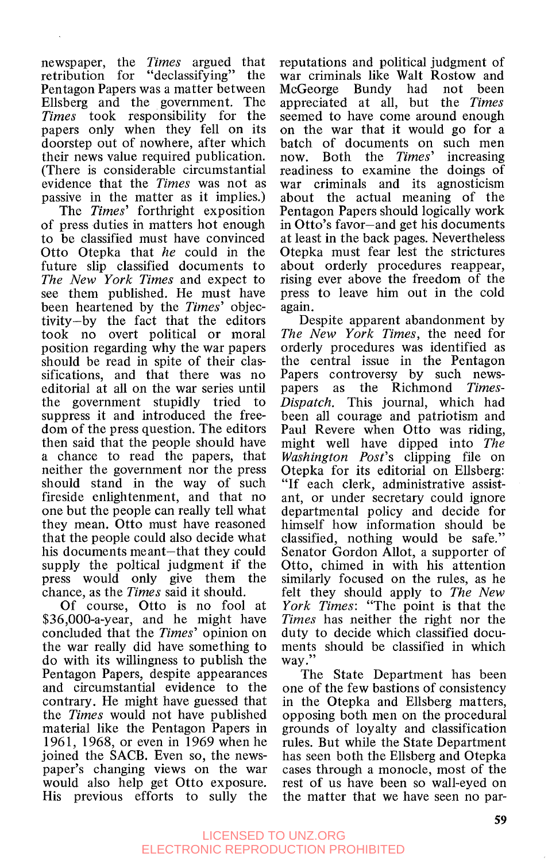newspaper, the *Times* argued that retribution for "declassifying" Pentagon Papers was a matter between Ellsberg and the government. The *Times* took responsibility for the papers only when they fell on its doorstep out of nowhere, after which their news value required publication. (There is considerable circumstantial evidence that the *Times* was not as passive in the matter as it implies.)

The *Times'* forthright exposition of press duties in matters hot enough to be classified must have convinced Otto Otepka that *he* could in the future slip classified documents to *The New York Times* and expect to see them published. He must have been heartened by the *Times'* objectivity-by the fact that the editors took no overt political or moral position regarding why the war papers should be read in spite of their classifications, and that there was no editorial at all on the war series until the government stupidly tried to suppress it and introduced the freedom of the press question. The editors then said that the people should have a chance to read the papers, that neither the government nor the press should stand in the way of such fireside enlightenment, and that no one but the people can really tell what they mean. Otto must have reasoned that the people could also decide what his documents meant-that they could supply the poltical judgment if the press would only give them the chance, as the *Times* said it should.

Of course, Otto is no fool at \$36,000-a-year, and he might have concluded that the *Times'* opinion on the war really did have something to do with its willingness to publish the Pentagon Papers, despite appearances and circumstantial evidence to the contrary. He might have guessed that the *Times* would not have published material like the Pentagon Papers in 1961, 1968, or even in 1969 when he joined the SACB. Even so, the newspaper's changing views on the war would also help get Otto exposure. His previous efforts to sully the

reputations and political judgment of war criminals like Walt Rostow and McGeorge Bundy had not been appreciated at all, but the *Times*  seemed to have come around enough on the war that it would go for a batch of documents on such men now. Both the *Times'* increasing readiness to examine the doings of war criminals and its agnosticism<br>about the actual meaning of the the actual meaning of the Pentagon Papers should logically work in Otto's favor-and get his documents at least in the back pages. Nevertheless Otepka must fear lest the strictures about orderly procedures reappear, rising ever above the freedom of the press to leave him out in the cold again.

Despite apparent abandonment by *The New York Times,* the need for orderly procedures was identified as the central issue in the Pentagon Papers controversy by such newspapers as the Richmond *Times-Dispatch.* This journal, which had been all courage and patriotism and Paul Revere when Otto was riding, might well have dipped into *The Washington Post's* clipping file on Otepka for its editorial on Ellsberg: "If each clerk, administrative assistant, or under secretary could ignore departmental policy and decide for himself how information should be classified, nothing would be safe." Senator Gordon Allot, a supporter of Otto, chimed in with his attention similarly focused on the rules, as he felt they should apply to *The New York Times:* "The point is that the *Times* has neither the right nor the duty to decide which classified documents should be classified in which way."

The State Department has been one of the few bastions of consistency in the Otepka and Ellsberg matters, opposing both men on the procedural grounds of loyalty and classification rules. But while the State Department has seen both the Ellsberg and Otepka cases through a monocle, most of the rest of us have been so wall-eyed on the matter that we have seen no par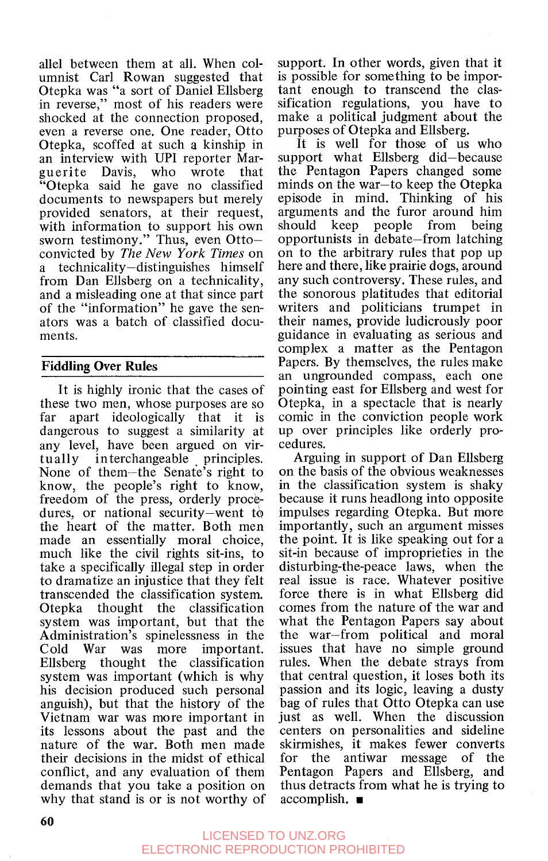allel between them at all. When columnist Carl Rowan suggested that Otepka was "a sort of Daniel Ellsberg in reverse," most of his readers were shocked at the connection proposed, even a reverse one. One reader, Otto Otepka, scoffed at such **a** kinship in an interview with UPI reporter Marguerite Davis, who wrote that guerite Davis, who "Otepka said he gave no classified documents to newspapers but merely provided senators, at their request, with information to support his own sworn testimony." Thus, even Ottoconvicted by *The New York Times* on a technicality-distinguishes himself from Dan Ellsberg on a technicality, and a misleading one at that since part of the "information" he gave the senators was a batch of classified documents.

### **Fiddling Over Rules**

It is highly ironic that the cases of these two men, whose purposes are so far apart ideologically that it is dangerous to suggest a similarity at any level, have been argued on virtually interchangeable principles. None of them-the Senate's right to know, the people's right to know, freedom of the press, orderly procedures, or national security-went to the heart of the matter. Both men made an essentially moral choice, much like the civil rights sit-ins, to take a specifically illegal step in order to dramatize an injustice that they felt transcended the classification system. Otepka thought the classification system was important, but that the Administration's spinelessness in the Cold War was more important. Ellsberg thought the classification system was important (which is why his decision produced such personal anguish), but that the history of the Vietnam war was more important in its lessons about the past and the nature of the war. Both men made their decisions in the midst of ethical conflict, and any evaluation of them demands that you take a position on why that stand is or is not worthy of

support. In other words, given that it is possible for something to be important enough to transcend the classification regulations, you have to make a political judgment about the purposes of Otepka and Ellsberg.

It is well for those of us who support what Ellsberg did-because the Pentagon Papers changed some minds on the war-to keep the Otepka episode in mind. Thinking of his arguments and the furor around him should keep people from being opportunists in debate-from latching on to the arbitrary rules that pop up here and there, like prairie dogs, around any such controversy. These rules, and the sonorous platitudes that editorial writers and politicians trumpet in their names, provide ludicrously poor guidance in evaluating as serious and complex a matter as the Pentagon Papers. By themselves, the rules make an ungrounded compass, each one pointing east for Ellsberg and west for Otepka, in a spectacle that is nearly comic in the conviction people work up over principles like orderly procedures.

Arguing in support of Dan Ellsberg on the basis of the obvious weaknesses in the classification system is shaky because it runs headlong into opposite impulses regarding Otepka. But more importantly, such an argument misses the point. It is like speaking out for a sit-in because of improprieties in the disturbing-the-peace laws, when the real issue is race. Whatever positive force there is in what Ellsberg did comes from the nature of the war and what the Pentagon Papers say about the war-from political and moral issues that have no simple ground rules. When the debate strays from that central question, it loses both its passion and its logic, leaving a dusty bag of rules that Otto Otepka can use just as well. When the discussion centers on personalities and sideline skirmishes, it makes fewer converts for the antiwar message of the Pentagon Papers and Ellsberg, and thus detracts from what he is trying to accomplish, **<sup>w</sup>**